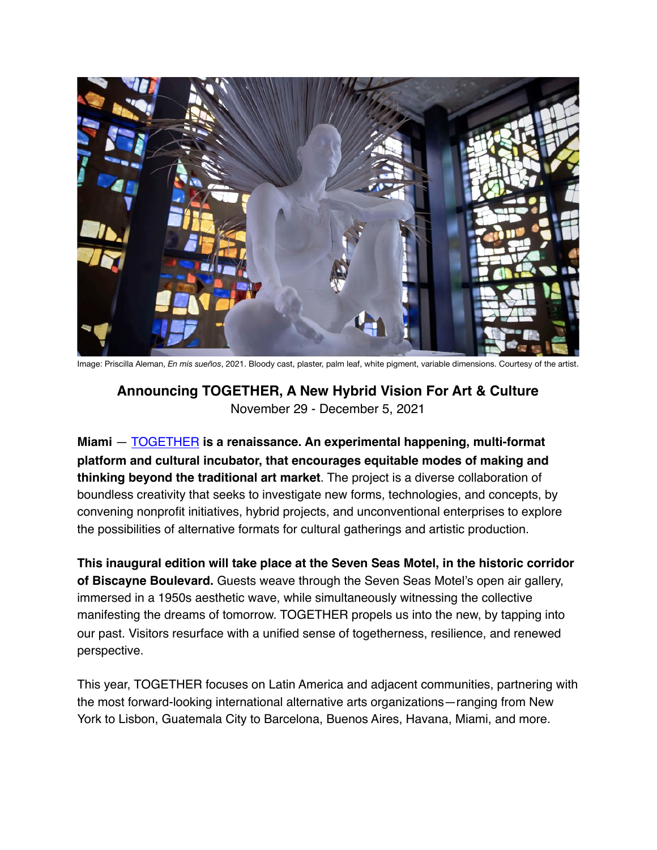

Image: Priscilla Aleman, *En mis sueños*, 2021. Bloody cast, plaster, palm leaf, white pigment, variable dimensions. Courtesy of the artist.

## **Announcing TOGETHER, A New Hybrid Vision For Art & Culture** November 29 - December 5, 2021

**Miami** — [TOGETHER](https://together-arts.com/) **is a renaissance. An experimental happening, multi-format platform and cultural incubator, that encourages equitable modes of making and thinking beyond the traditional art market**. The project is a diverse collaboration of boundless creativity that seeks to investigate new forms, technologies, and concepts, by convening nonprofit initiatives, hybrid projects, and unconventional enterprises to explore the possibilities of alternative formats for cultural gatherings and artistic production.

**This inaugural edition will take place at the Seven Seas Motel, in the historic corridor of Biscayne Boulevard.** Guests weave through the Seven Seas Motel's open air gallery, immersed in a 1950s aesthetic wave, while simultaneously witnessing the collective manifesting the dreams of tomorrow. TOGETHER propels us into the new, by tapping into our past. Visitors resurface with a unified sense of togetherness, resilience, and renewed perspective.

This year, TOGETHER focuses on Latin America and adjacent communities, partnering with the most forward-looking international alternative arts organizations—ranging from New York to Lisbon, Guatemala City to Barcelona, Buenos Aires, Havana, Miami, and more.